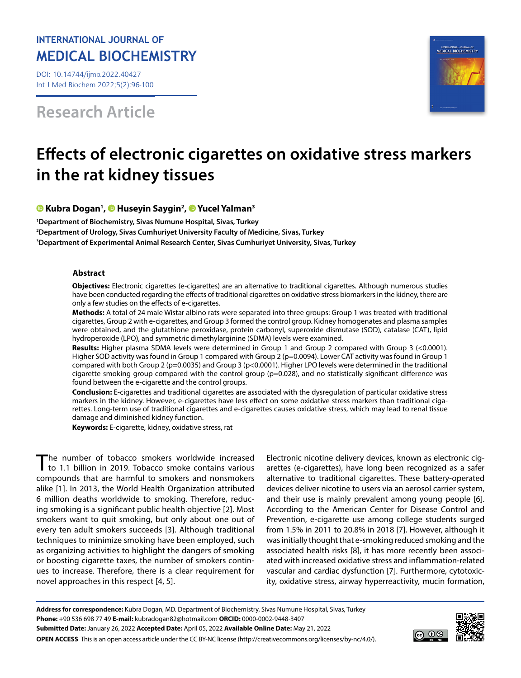# **INTERNATIONAL JOURNAL OF MEDICAL BIOCHEMISTRY**

DOI: 10.14744/ijmb.2022.40427 Int J Med Biochem 2022;5(2):96-100

**Research Article**



# **Effects of electronic cigarettes on oxidative stress markers in the rat kidney tissues**

# **Kubra Dogan1 , [H](https://orcid.org/0000-0002-6875-0882)useyin Saygin2 , [Y](https://orcid.org/0000-0001-6506-3836)ucel Yalman3**

**1 Department of Biochemistry, Sivas Numune Hospital, Sivas, Turkey 2 Department of Urology, Sivas Cumhuriyet University Faculty of Medicine, Sivas, Turkey 3 Department of Experimental Animal Research Center, Sivas Cumhuriyet University, Sivas, Turkey**

## **Abstract**

**Objectives:** Electronic cigarettes (e-cigarettes) are an alternative to traditional cigarettes. Although numerous studies have been conducted regarding the effects of traditional cigarettes on oxidative stress biomarkers in the kidney, there are only a few studies on the effects of e-cigarettes.

**Methods:** A total of 24 male Wistar albino rats were separated into three groups: Group 1 was treated with traditional cigarettes, Group 2 with e-cigarettes, and Group 3 formed the control group. Kidney homogenates and plasma samples were obtained, and the glutathione peroxidase, protein carbonyl, superoxide dismutase (SOD), catalase (CAT), lipid hydroperoxide (LPO), and symmetric dimethylarginine (SDMA) levels were examined.

**Results:** Higher plasma SDMA levels were determined in Group 1 and Group 2 compared with Group 3 (<0.0001). Higher SOD activity was found in Group 1 compared with Group 2 (p=0.0094). Lower CAT activity was found in Group 1 compared with both Group 2 (p=0.0035) and Group 3 (p<0.0001). Higher LPO levels were determined in the traditional cigarette smoking group compared with the control group (p=0.028), and no statistically significant difference was found between the e-cigarette and the control groups.

**Conclusion:** E-cigarettes and traditional cigarettes are associated with the dysregulation of particular oxidative stress markers in the kidney. However, e-cigarettes have less effect on some oxidative stress markers than traditional cigarettes. Long-term use of traditional cigarettes and e-cigarettes causes oxidative stress, which may lead to renal tissue damage and diminished kidney function.

**Keywords:** E-cigarette, kidney, oxidative stress, rat

The number of tobacco smokers worldwide increased to 1.1 billion in 2019. Tobacco smoke contains various compounds that are harmful to smokers and nonsmokers alike [1]. In 2013, the World Health Organization attributed 6 million deaths worldwide to smoking. Therefore, reducing smoking is a significant public health objective [2]. Most smokers want to quit smoking, but only about one out of every ten adult smokers succeeds [3]. Although traditional techniques to minimize smoking have been employed, such as organizing activities to highlight the dangers of smoking or boosting cigarette taxes, the number of smokers continues to increase. Therefore, there is a clear requirement for novel approaches in this respect [4, 5].

Electronic nicotine delivery devices, known as electronic cigarettes (e-cigarettes), have long been recognized as a safer alternative to traditional cigarettes. These battery-operated devices deliver nicotine to users via an aerosol carrier system, and their use is mainly prevalent among young people [6]. According to the American Center for Disease Control and Prevention, e-cigarette use among college students surged from 1.5% in 2011 to 20.8% in 2018 [7]. However, although it was initially thought that e-smoking reduced smoking and the associated health risks [8], it has more recently been associated with increased oxidative stress and inflammation-related vascular and cardiac dysfunction [7]. Furthermore, cytotoxicity, oxidative stress, airway hyperreactivity, mucin formation,

**Address for correspondence:** Kubra Dogan, MD. Department of Biochemistry, Sivas Numune Hospital, Sivas, Turkey **Phone:** +90 536 698 77 49 **E-mail:** kubradogan82@hotmail.com **ORCID:** 0000-0002-9448-3407 **Submitted Date:** January 26, 2022 **Accepted Date:** April 05, 2022 **Available Online Date:** May 21, 2022 **OPEN ACCESS** This is an open access article under the CC BY-NC license (http://creativecommons.org/licenses/by-nc/4.0/).

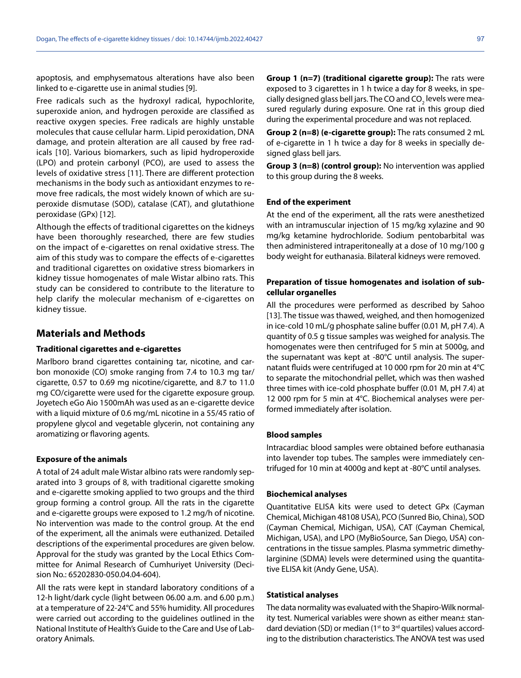apoptosis, and emphysematous alterations have also been linked to e-cigarette use in animal studies [9].

Free radicals such as the hydroxyl radical, hypochlorite, superoxide anion, and hydrogen peroxide are classified as reactive oxygen species. Free radicals are highly unstable molecules that cause cellular harm. Lipid peroxidation, DNA damage, and protein alteration are all caused by free radicals [10]. Various biomarkers, such as lipid hydroperoxide (LPO) and protein carbonyl (PCO), are used to assess the levels of oxidative stress [11]. There are different protection mechanisms in the body such as antioxidant enzymes to remove free radicals, the most widely known of which are superoxide dismutase (SOD), catalase (CAT), and glutathione peroxidase (GPx) [12].

Although the effects of traditional cigarettes on the kidneys have been thoroughly researched, there are few studies on the impact of e-cigarettes on renal oxidative stress. The aim of this study was to compare the effects of e-cigarettes and traditional cigarettes on oxidative stress biomarkers in kidney tissue homogenates of male Wistar albino rats. This study can be considered to contribute to the literature to help clarify the molecular mechanism of e-cigarettes on kidney tissue.

# **Materials and Methods**

### **Traditional cigarettes and e-cigarettes**

Marlboro brand cigarettes containing tar, nicotine, and carbon monoxide (CO) smoke ranging from 7.4 to 10.3 mg tar/ cigarette, 0.57 to 0.69 mg nicotine/cigarette, and 8.7 to 11.0 mg CO/cigarette were used for the cigarette exposure group. Joyetech eGo Aio 1500mAh was used as an e-cigarette device with a liquid mixture of 0.6 mg/mL nicotine in a 55/45 ratio of propylene glycol and vegetable glycerin, not containing any aromatizing or flavoring agents.

#### **Exposure of the animals**

A total of 24 adult male Wistar albino rats were randomly separated into 3 groups of 8, with traditional cigarette smoking and e-cigarette smoking applied to two groups and the third group forming a control group. All the rats in the cigarette and e-cigarette groups were exposed to 1.2 mg/h of nicotine. No intervention was made to the control group. At the end of the experiment, all the animals were euthanized. Detailed descriptions of the experimental procedures are given below. Approval for the study was granted by the Local Ethics Committee for Animal Research of Cumhuriyet University (Decision No.: 65202830-050.04.04-604).

All the rats were kept in standard laboratory conditions of a 12-h light/dark cycle (light between 06.00 a.m. and 6.00 p.m.) at a temperature of 22-24°C and 55% humidity. All procedures were carried out according to the guidelines outlined in the National Institute of Health's Guide to the Care and Use of Laboratory Animals.

**Group 1 (n=7) (traditional cigarette group):** The rats were exposed to 3 cigarettes in 1 h twice a day for 8 weeks, in specially designed glass bell jars. The CO and CO<sub>2</sub> levels were measured regularly during exposure. One rat in this group died during the experimental procedure and was not replaced.

**Group 2 (n=8) (e-cigarette group):** The rats consumed 2 mL of e-cigarette in 1 h twice a day for 8 weeks in specially designed glass bell jars.

**Group 3 (n=8) (control group):** No intervention was applied to this group during the 8 weeks.

#### **End of the experiment**

At the end of the experiment, all the rats were anesthetized with an intramuscular injection of 15 mg/kg xylazine and 90 mg/kg ketamine hydrochloride. Sodium pentobarbital was then administered intraperitoneally at a dose of 10 mg/100 g body weight for euthanasia. Bilateral kidneys were removed.

# **Preparation of tissue homogenates and isolation of subcellular organelles**

All the procedures were performed as described by Sahoo [13]. The tissue was thawed, weighed, and then homogenized in ice-cold 10 mL/g phosphate saline buffer (0.01 M, pH 7.4). A quantity of 0.5 g tissue samples was weighed for analysis. The homogenates were then centrifuged for 5 min at 5000g, and the supernatant was kept at -80°C until analysis. The supernatant fluids were centrifuged at 10 000 rpm for 20 min at 4°C to separate the mitochondrial pellet, which was then washed three times with ice-cold phosphate buffer (0.01 M, pH 7.4) at 12 000 rpm for 5 min at 4°C. Biochemical analyses were performed immediately after isolation.

#### **Blood samples**

Intracardiac blood samples were obtained before euthanasia into lavender top tubes. The samples were immediately centrifuged for 10 min at 4000g and kept at -80°C until analyses.

#### **Biochemical analyses**

Quantitative ELISA kits were used to detect GPx (Cayman Chemical, Michigan 48108 USA), PCO (Sunred Bio, China), SOD (Cayman Chemical, Michigan, USA), CAT (Cayman Chemical, Michigan, USA), and LPO (MyBioSource, San Diego, USA) concentrations in the tissue samples. Plasma symmetric dimethylarginine (SDMA) levels were determined using the quantitative ELISA kit (Andy Gene, USA).

#### **Statistical analyses**

The data normality was evaluated with the Shapiro-Wilk normality test. Numerical variables were shown as either mean± standard deviation (SD) or median ( $1<sup>st</sup>$  to  $3<sup>rd</sup>$  quartiles) values according to the distribution characteristics. The ANOVA test was used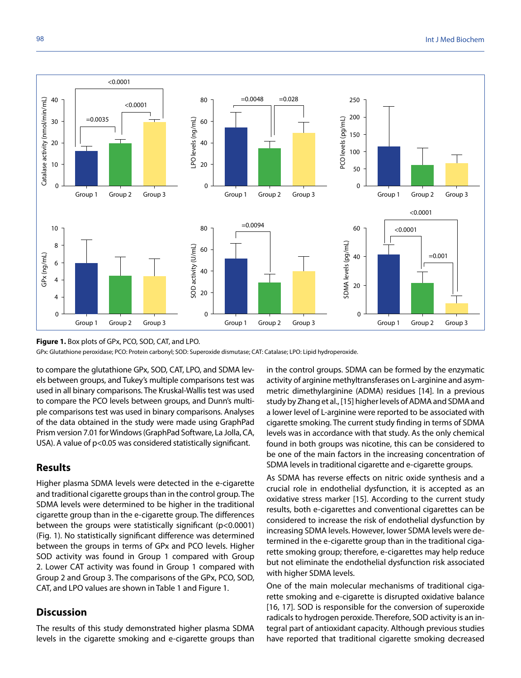

**Figure 1.** Box plots of GPx, PCO, SOD, CAT, and LPO.

GPx: Glutathione peroxidase; PCO: Protein carbonyl; SOD: Superoxide dismutase; CAT: Catalase; LPO: Lipid hydroperoxide.

to compare the glutathione GPx, SOD, CAT, LPO, and SDMA levels between groups, and Tukey's multiple comparisons test was used in all binary comparisons. The Kruskal-Wallis test was used to compare the PCO levels between groups, and Dunn's multiple comparisons test was used in binary comparisons. Analyses of the data obtained in the study were made using GraphPad Prism version 7.01 for Windows (GraphPad Software, La Jolla, CA, USA). A value of p<0.05 was considered statistically significant.

# **Results**

Higher plasma SDMA levels were detected in the e-cigarette and traditional cigarette groups than in the control group. The SDMA levels were determined to be higher in the traditional cigarette group than in the e-cigarette group. The differences between the groups were statistically significant (p<0.0001) (Fig. 1). No statistically significant difference was determined between the groups in terms of GPx and PCO levels. Higher SOD activity was found in Group 1 compared with Group 2. Lower CAT activity was found in Group 1 compared with Group 2 and Group 3. The comparisons of the GPx, PCO, SOD, CAT, and LPO values are shown in Table 1 and Figure 1.

# **Discussion**

The results of this study demonstrated higher plasma SDMA levels in the cigarette smoking and e-cigarette groups than in the control groups. SDMA can be formed by the enzymatic activity of arginine methyltransferases on L-arginine and asymmetric dimethylarginine (ADMA) residues [14]. In a previous study by Zhang et al., [15] higher levels of ADMA and SDMA and a lower level of L-arginine were reported to be associated with cigarette smoking. The current study finding in terms of SDMA levels was in accordance with that study. As the only chemical found in both groups was nicotine, this can be considered to be one of the main factors in the increasing concentration of SDMA levels in traditional cigarette and e-cigarette groups.

As SDMA has reverse effects on nitric oxide synthesis and a crucial role in endothelial dysfunction, it is accepted as an oxidative stress marker [15]. According to the current study results, both e-cigarettes and conventional cigarettes can be considered to increase the risk of endothelial dysfunction by increasing SDMA levels. However, lower SDMA levels were determined in the e-cigarette group than in the traditional cigarette smoking group; therefore, e-cigarettes may help reduce but not eliminate the endothelial dysfunction risk associated with higher SDMA levels.

One of the main molecular mechanisms of traditional cigarette smoking and e-cigarette is disrupted oxidative balance [16, 17]. SOD is responsible for the conversion of superoxide radicals to hydrogen peroxide. Therefore, SOD activity is an integral part of antioxidant capacity. Although previous studies have reported that traditional cigarette smoking decreased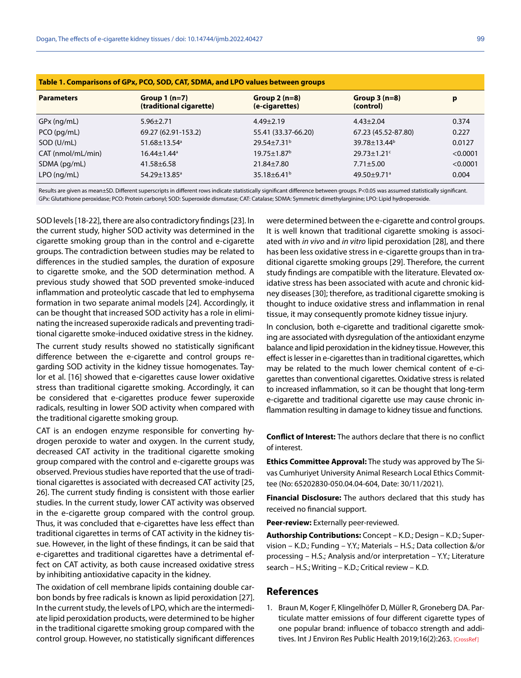| Table 1. Comparisons of GPx, PCO, SOD, CAT, SDMA, and LPO values between groups |                                           |                                  |                               |          |
|---------------------------------------------------------------------------------|-------------------------------------------|----------------------------------|-------------------------------|----------|
| <b>Parameters</b>                                                               | Group $1(n=7)$<br>(traditional cigarette) | Group $2(n=8)$<br>(e-cigarettes) | Group $3(n=8)$<br>(control)   | p        |
| $GPx$ (ng/mL)                                                                   | $5.96 \pm 2.71$                           | $4.49 \pm 2.19$                  | $4.43 \pm 2.04$               | 0.374    |
| $PCO$ (pg/mL)                                                                   | 69.27 (62.91-153.2)                       | 55.41 (33.37-66.20)              | 67.23 (45.52-87.80)           | 0.227    |
| SOD (U/mL)                                                                      | 51.68±13.54 <sup>a</sup>                  | $29.54 \pm 7.31^b$               | 39.78±13.44 <sup>b</sup>      | 0.0127   |
| CAT (nmol/mL/min)                                                               | $16.44 \pm 1.44^{\circ}$                  | $19.75 \pm 1.87$ <sup>b</sup>    | $29.73 \pm 1.21$ °            | < 0.0001 |
| SDMA (pg/mL)                                                                    | $41.58 \pm 6.58$                          | 21.84±7.80                       | $7.71 \pm 5.00$               | < 0.0001 |
| $LPO$ (ng/mL)                                                                   | 54.29±13.85 <sup>a</sup>                  | 35.18 $\pm$ 6.41 <sup>b</sup>    | $49.50 \pm 9.71$ <sup>a</sup> | 0.004    |

**Table 1. Comparisons of GPx, PCO, SOD, CAT, SDMA, and LPO values between groups**

Results are given as mean±SD. Different superscripts in different rows indicate statistically significant difference between groups. P<0.05 was assumed statistically significant. GPx: Glutathione peroxidase; PCO: Protein carbonyl; SOD: Superoxide dismutase; CAT: Catalase; SDMA: Symmetric dimethylarginine; LPO: Lipid hydroperoxide.

SOD levels [18-22], there are also contradictory findings [23]. In the current study, higher SOD activity was determined in the cigarette smoking group than in the control and e-cigarette groups. The contradiction between studies may be related to differences in the studied samples, the duration of exposure to cigarette smoke, and the SOD determination method. A previous study showed that SOD prevented smoke-induced inflammation and proteolytic cascade that led to emphysema formation in two separate animal models [24]. Accordingly, it can be thought that increased SOD activity has a role in eliminating the increased superoxide radicals and preventing traditional cigarette smoke-induced oxidative stress in the kidney.

The current study results showed no statistically significant difference between the e-cigarette and control groups regarding SOD activity in the kidney tissue homogenates. Taylor et al. [16] showed that e-cigarettes cause lower oxidative stress than traditional cigarette smoking. Accordingly, it can be considered that e-cigarettes produce fewer superoxide radicals, resulting in lower SOD activity when compared with the traditional cigarette smoking group.

CAT is an endogen enzyme responsible for converting hydrogen peroxide to water and oxygen. In the current study, decreased CAT activity in the traditional cigarette smoking group compared with the control and e-cigarette groups was observed. Previous studies have reported that the use of traditional cigarettes is associated with decreased CAT activity [25, 26]. The current study finding is consistent with those earlier studies. In the current study, lower CAT activity was observed in the e-cigarette group compared with the control group. Thus, it was concluded that e-cigarettes have less effect than traditional cigarettes in terms of CAT activity in the kidney tissue. However, in the light of these findings, it can be said that e-cigarettes and traditional cigarettes have a detrimental effect on CAT activity, as both cause increased oxidative stress by inhibiting antioxidative capacity in the kidney.

The oxidation of cell membrane lipids containing double carbon bonds by free radicals is known as lipid peroxidation [27]. In the current study, the levels of LPO, which are the intermediate lipid peroxidation products, were determined to be higher in the traditional cigarette smoking group compared with the control group. However, no statistically significant differences

were determined between the e-cigarette and control groups. It is well known that traditional cigarette smoking is associated with *in vivo* and *in vitro* lipid peroxidation [28], and there has been less oxidative stress in e-cigarette groups than in traditional cigarette smoking groups [29]. Therefore, the current study findings are compatible with the literature. Elevated oxidative stress has been associated with acute and chronic kidney diseases [30]; therefore, as traditional cigarette smoking is thought to induce oxidative stress and inflammation in renal tissue, it may consequently promote kidney tissue injury.

In conclusion, both e-cigarette and traditional cigarette smoking are associated with dysregulation of the antioxidant enzyme balance and lipid peroxidation in the kidney tissue. However, this effect is lesser in e-cigarettes than in traditional cigarettes, which may be related to the much lower chemical content of e-cigarettes than conventional cigarettes. Oxidative stress is related to increased inflammation, so it can be thought that long-term e-cigarette and traditional cigarette use may cause chronic inflammation resulting in damage to kidney tissue and functions.

**Conflict of Interest:** The authors declare that there is no conflict of interest.

**Ethics Committee Approval:** The study was approved by The Sivas Cumhuriyet University Animal Research Local Ethics Committee (No: 65202830-050.04.04-604, Date: 30/11/2021).

**Financial Disclosure:** The authors declared that this study has received no financial support.

**Peer-review:** Externally peer-reviewed.

**Authorship Contributions:** Concept – K.D.; Design – K.D.; Supervision – K.D.; Funding – Y.Y.; Materials – H.S.; Data collection &/or processing – H.S.; Analysis and/or interpretation – Y.Y.; Literature search – H.S.; Writing – K.D.; Critical review – K.D.

### **References**

1. Braun M, Koger F, Klingelhöfer D, Müller R, Groneberg DA. Particulate matter emissions of four different cigarette types of one popular brand: influence of tobacco strength and addi-tives. Int J Environ Res Public Health 2019;16(2):26[3. \[CrossRef\]](https://doi.org/10.3390/ijerph16020263)